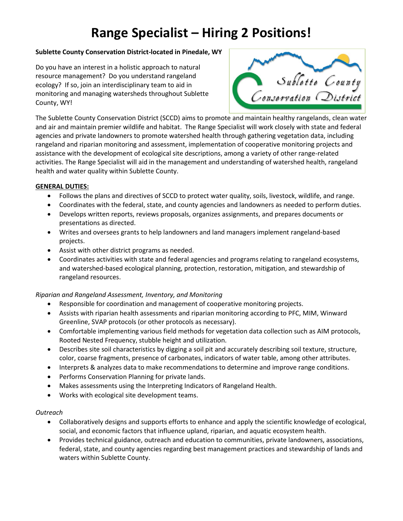# **Range Specialist – Hiring 2 Positions!**

### **Sublette County Conservation District-located in Pinedale, WY**

Do you have an interest in a holistic approach to natural resource management? Do you understand rangeland ecology? If so, join an interdisciplinary team to aid in monitoring and managing watersheds throughout Sublette County, WY!



The Sublette County Conservation District (SCCD) aims to promote and maintain healthy rangelands, clean water and air and maintain premier wildlife and habitat. The Range Specialist will work closely with state and federal agencies and private landowners to promote watershed health through gathering vegetation data, including rangeland and riparian monitoring and assessment, implementation of cooperative monitoring projects and assistance with the development of ecological site descriptions, among a variety of other range-related activities. The Range Specialist will aid in the management and understanding of watershed health, rangeland health and water quality within Sublette County.

### **GENERAL DUTIES:**

- Follows the plans and directives of SCCD to protect water quality, soils, livestock, wildlife, and range.
- Coordinates with the federal, state, and county agencies and landowners as needed to perform duties.
- Develops written reports, reviews proposals, organizes assignments, and prepares documents or presentations as directed.
- Writes and oversees grants to help landowners and land managers implement rangeland-based projects.
- Assist with other district programs as needed.
- Coordinates activities with state and federal agencies and programs relating to rangeland ecosystems, and watershed-based ecological planning, protection, restoration, mitigation, and stewardship of rangeland resources.

# *Riparian and Rangeland Assessment, Inventory, and Monitoring*

- Responsible for coordination and management of cooperative monitoring projects.
- Assists with riparian health assessments and riparian monitoring according to PFC, MIM, Winward Greenline, SVAP protocols (or other protocols as necessary).
- Comfortable implementing various field methods for vegetation data collection such as AIM protocols, Rooted Nested Frequency, stubble height and utilization.
- Describes site soil characteristics by digging a soil pit and accurately describing soil texture, structure, color, coarse fragments, presence of carbonates, indicators of water table, among other attributes.
- Interprets & analyzes data to make recommendations to determine and improve range conditions.
- Performs Conservation Planning for private lands.
- Makes assessments using the Interpreting Indicators of Rangeland Health.
- Works with ecological site development teams.

#### *Outreach*

- Collaboratively designs and supports efforts to enhance and apply the scientific knowledge of ecological, social, and economic factors that influence upland, riparian, and aquatic ecosystem health.
- Provides technical guidance, outreach and education to communities, private landowners, associations, federal, state, and county agencies regarding best management practices and stewardship of lands and waters within Sublette County.